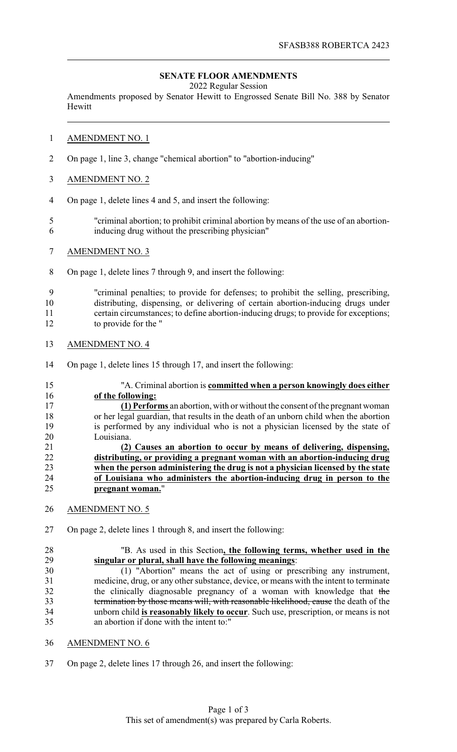## **SENATE FLOOR AMENDMENTS**

2022 Regular Session

Amendments proposed by Senator Hewitt to Engrossed Senate Bill No. 388 by Senator Hewitt

#### AMENDMENT NO. 1

- On page 1, line 3, change "chemical abortion" to "abortion-inducing"
- AMENDMENT NO. 2
- On page 1, delete lines 4 and 5, and insert the following:
- "criminal abortion; to prohibit criminal abortion by means of the use of an abortion-inducing drug without the prescribing physician"
- AMENDMENT NO. 3
- On page 1, delete lines 7 through 9, and insert the following:

 "criminal penalties; to provide for defenses; to prohibit the selling, prescribing, distributing, dispensing, or delivering of certain abortion-inducing drugs under certain circumstances; to define abortion-inducing drugs; to provide for exceptions; to provide for the "

- AMENDMENT NO. 4
- On page 1, delete lines 15 through 17, and insert the following:
- "A. Criminal abortion is **committed when a person knowingly does either of the following: (1) Performs** an abortion, with or without the consent of the pregnant woman or her legal guardian, that results in the death of an unborn child when the abortion is performed by any individual who is not a physician licensed by the state of Louisiana. **(2) Causes an abortion to occur by means of delivering, dispensing, distributing, or providing a pregnant woman with an abortion-inducing drug when the person administering the drug is not a physician licensed by the state of Louisiana who administers the abortion-inducing drug in person to the pregnant woman.**"
- AMENDMENT NO. 5
- On page 2, delete lines 1 through 8, and insert the following:

# "B. As used in this Section**, the following terms, whether used in the singular or plural, shall have the following meanings**:

 (1) "Abortion" means the act of using or prescribing any instrument, medicine, drug, or any other substance, device, or means with the intent to terminate 32 the clinically diagnosable pregnancy of a woman with knowledge that the termination by those means will, with reasonable likelihood, cause the death of the unborn child **is reasonably likely to occur**. Such use, prescription, or means is not an abortion if done with the intent to:"

- AMENDMENT NO. 6
- On page 2, delete lines 17 through 26, and insert the following: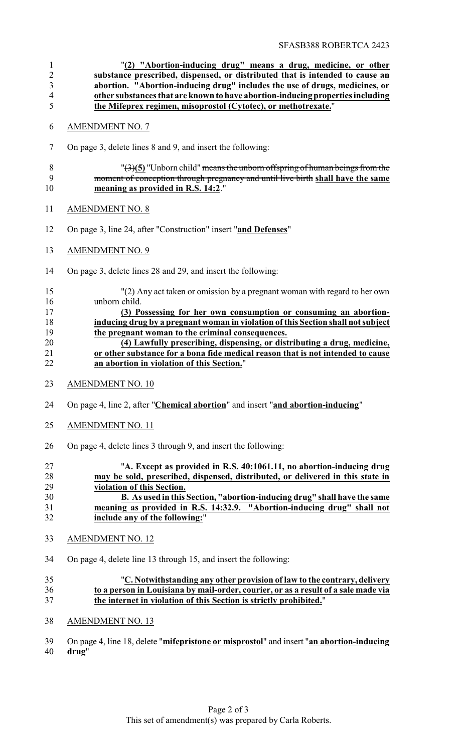| $\mathbf{1}$<br>$\overline{c}$<br>$\mathfrak{Z}$<br>$\overline{4}$<br>5 | "(2) "Abortion-inducing drug" means a drug, medicine, or other<br>substance prescribed, dispensed, or distributed that is intended to cause an<br>abortion. "Abortion-inducing drug" includes the use of drugs, medicines, or<br>other substances that are known to have abortion-inducing properties including<br>the Mifeprex regimen, misoprostol (Cytotec), or methotrexate."                                                                                                                                  |
|-------------------------------------------------------------------------|--------------------------------------------------------------------------------------------------------------------------------------------------------------------------------------------------------------------------------------------------------------------------------------------------------------------------------------------------------------------------------------------------------------------------------------------------------------------------------------------------------------------|
| 6                                                                       | <b>AMENDMENT NO. 7</b>                                                                                                                                                                                                                                                                                                                                                                                                                                                                                             |
| 7                                                                       | On page 3, delete lines 8 and 9, and insert the following:                                                                                                                                                                                                                                                                                                                                                                                                                                                         |
| $8\,$<br>9<br>10                                                        | $\frac{1}{2}(3)(5)$ "Unborn child" means the unborn offspring of human beings from the<br>moment of conception through pregnancy and until live birth shall have the same<br>meaning as provided in R.S. 14:2."                                                                                                                                                                                                                                                                                                    |
| 11                                                                      | <b>AMENDMENT NO. 8</b>                                                                                                                                                                                                                                                                                                                                                                                                                                                                                             |
| 12                                                                      | On page 3, line 24, after "Construction" insert "and Defenses"                                                                                                                                                                                                                                                                                                                                                                                                                                                     |
| 13                                                                      | <b>AMENDMENT NO. 9</b>                                                                                                                                                                                                                                                                                                                                                                                                                                                                                             |
| 14                                                                      | On page 3, delete lines 28 and 29, and insert the following:                                                                                                                                                                                                                                                                                                                                                                                                                                                       |
| 15<br>16<br>17<br>18<br>19<br>20<br>21<br>22                            | "(2) Any act taken or omission by a pregnant woman with regard to her own<br>unborn child.<br>(3) Possessing for her own consumption or consuming an abortion-<br>inducing drug by a pregnant woman in violation of this Section shall not subject<br>the pregnant woman to the criminal consequences.<br>(4) Lawfully prescribing, dispensing, or distributing a drug, medicine,<br>or other substance for a bona fide medical reason that is not intended to cause<br>an abortion in violation of this Section." |
| 23                                                                      | <b>AMENDMENT NO. 10</b>                                                                                                                                                                                                                                                                                                                                                                                                                                                                                            |
| 24                                                                      | On page 4, line 2, after "Chemical abortion" and insert "and abortion-inducing"                                                                                                                                                                                                                                                                                                                                                                                                                                    |
| 25                                                                      | <b>AMENDMENT NO. 11</b>                                                                                                                                                                                                                                                                                                                                                                                                                                                                                            |
| 26                                                                      | On page 4, delete lines 3 through 9, and insert the following:                                                                                                                                                                                                                                                                                                                                                                                                                                                     |
| 27<br>28<br>29<br>30<br>31<br>32                                        | "A. Except as provided in R.S. 40:1061.11, no abortion-inducing drug<br>may be sold, prescribed, dispensed, distributed, or delivered in this state in<br>violation of this Section.<br>B. As used in this Section, "abortion-inducing drug" shall have the same<br>meaning as provided in R.S. 14:32.9. "Abortion-inducing drug" shall not<br>include any of the following:"                                                                                                                                      |
| 33                                                                      | <b>AMENDMENT NO. 12</b>                                                                                                                                                                                                                                                                                                                                                                                                                                                                                            |
| 34                                                                      | On page 4, delete line 13 through 15, and insert the following:                                                                                                                                                                                                                                                                                                                                                                                                                                                    |
| 35<br>36<br>37                                                          | "C. Notwithstanding any other provision of law to the contrary, delivery<br>to a person in Louisiana by mail-order, courier, or as a result of a sale made via<br>the internet in violation of this Section is strictly prohibited."                                                                                                                                                                                                                                                                               |
| 38                                                                      | <b>AMENDMENT NO. 13</b>                                                                                                                                                                                                                                                                                                                                                                                                                                                                                            |
|                                                                         |                                                                                                                                                                                                                                                                                                                                                                                                                                                                                                                    |

 On page 4, line 18, delete "**mifepristone or misprostol**" and insert "**an abortion-inducing drug**"